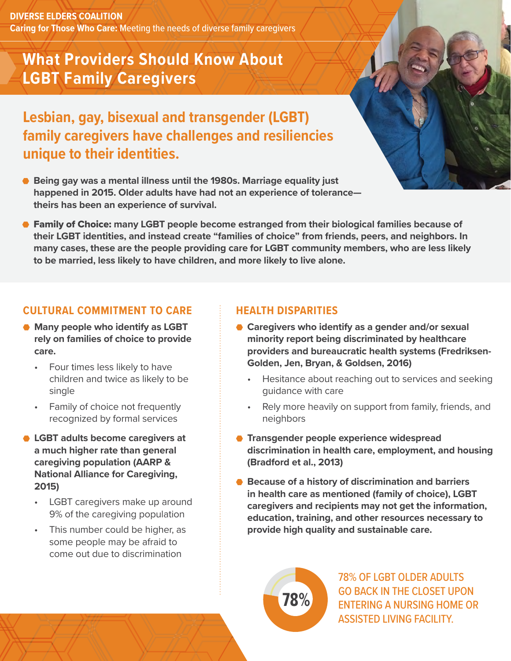**DIVERSE ELDERS COALITION Caring for Those Who Care:** Meeting the needs of diverse family caregivers

# **What Providers Should Know About LGBT Family Caregivers**

**Lesbian, gay, bisexual and transgender (LGBT) family caregivers have challenges and resiliencies unique to their identities.** 

- **Being gay was a mental illness until the 1980s. Marriage equality just happened in 2015. Older adults have had not an experience of tolerance theirs has been an experience of survival.**
- **Family of Choice:** many LGBT people become estranged from their biological families because of **their LGBT identities, and instead create "families of choice" from friends, peers, and neighbors. In many cases, these are the people providing care for LGBT community members, who are less likely to be married, less likely to have children, and more likely to live alone.**

#### **CULTURAL COMMITMENT TO CARE**

- **Many people who identify as LGBT rely on families of choice to provide care.**
	- Four times less likely to have children and twice as likely to be single
	- Family of choice not frequently recognized by formal services
- **LGBT adults become caregivers at a much higher rate than general caregiving population (AARP & National Alliance for Caregiving, 2015)**
	- LGBT caregivers make up around 9% of the caregiving population
	- This number could be higher, as some people may be afraid to come out due to discrimination

## **HEALTH DISPARITIES**

- **Caregivers who identify as a gender and/or sexual minority report being discriminated by healthcare providers and bureaucratic health systems (Fredriksen-Golden, Jen, Bryan, & Goldsen, 2016)**
	- Hesitance about reaching out to services and seeking guidance with care
	- Rely more heavily on support from family, friends, and neighbors
- **Transgender people experience widespread discrimination in health care, employment, and housing (Bradford et al., 2013)**
- **Because of a history of discrimination and barriers in health care as mentioned (family of choice), LGBT caregivers and recipients may not get the information, education, training, and other resources necessary to provide high quality and sustainable care.**

**78%**

78% OF LGBT OLDER ADULTS GO BACK IN THE CLOSET UPON ENTERING A NURSING HOME OR ASSISTED LIVING FACILITY.